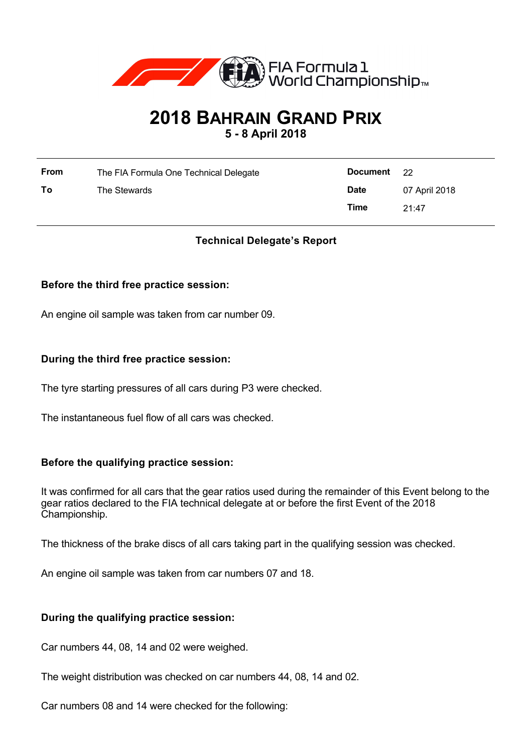

# **2018 BAHRAIN GRAND PRIX**

**5 - 8 April 2018**

| <b>From</b> | The FIA Formula One Technical Delegate | Document    | 22            |
|-------------|----------------------------------------|-------------|---------------|
| To          | The Stewards                           | <b>Date</b> | 07 April 2018 |
|             |                                        | Time        | 21:47         |

# **Technical Delegate's Report**

## **Before the third free practice session:**

An engine oil sample was taken from car number 09.

## **During the third free practice session:**

The tyre starting pressures of all cars during P3 were checked.

The instantaneous fuel flow of all cars was checked.

## **Before the qualifying practice session:**

It was confirmed for all cars that the gear ratios used during the remainder of this Event belong to the gear ratios declared to the FIA technical delegate at or before the first Event of the 2018 Championship.

The thickness of the brake discs of all cars taking part in the qualifying session was checked.

An engine oil sample was taken from car numbers 07 and 18.

## **During the qualifying practice session:**

Car numbers 44, 08, 14 and 02 were weighed.

The weight distribution was checked on car numbers 44, 08, 14 and 02.

Car numbers 08 and 14 were checked for the following: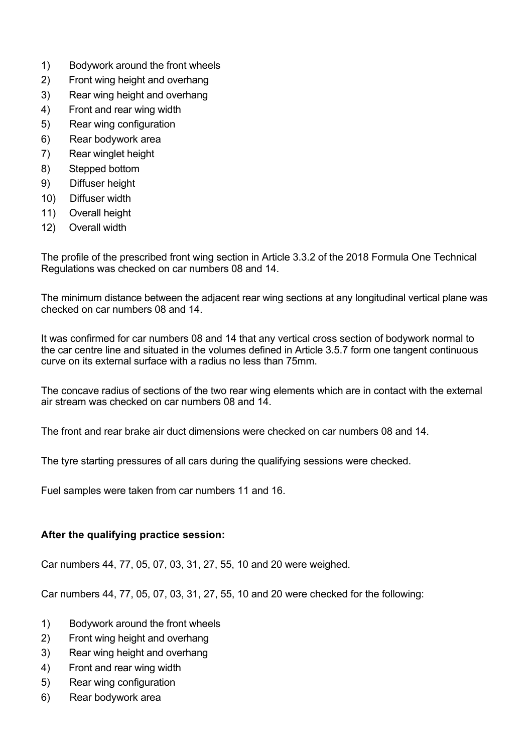- 1) Bodywork around the front wheels
- 2) Front wing height and overhang
- 3) Rear wing height and overhang
- 4) Front and rear wing width
- 5) Rear wing configuration
- 6) Rear bodywork area
- 7) Rear winglet height
- 8) Stepped bottom
- 9) Diffuser height
- 10) Diffuser width
- 11) Overall height
- 12) Overall width

The profile of the prescribed front wing section in Article 3.3.2 of the 2018 Formula One Technical Regulations was checked on car numbers 08 and 14.

The minimum distance between the adjacent rear wing sections at any longitudinal vertical plane was checked on car numbers 08 and 14.

It was confirmed for car numbers 08 and 14 that any vertical cross section of bodywork normal to the car centre line and situated in the volumes defined in Article 3.5.7 form one tangent continuous curve on its external surface with a radius no less than 75mm.

The concave radius of sections of the two rear wing elements which are in contact with the external air stream was checked on car numbers 08 and 14.

The front and rear brake air duct dimensions were checked on car numbers 08 and 14.

The tyre starting pressures of all cars during the qualifying sessions were checked.

Fuel samples were taken from car numbers 11 and 16.

## **After the qualifying practice session:**

Car numbers 44, 77, 05, 07, 03, 31, 27, 55, 10 and 20 were weighed.

Car numbers 44, 77, 05, 07, 03, 31, 27, 55, 10 and 20 were checked for the following:

- 1) Bodywork around the front wheels
- 2) Front wing height and overhang
- 3) Rear wing height and overhang
- 4) Front and rear wing width
- 5) Rear wing configuration
- 6) Rear bodywork area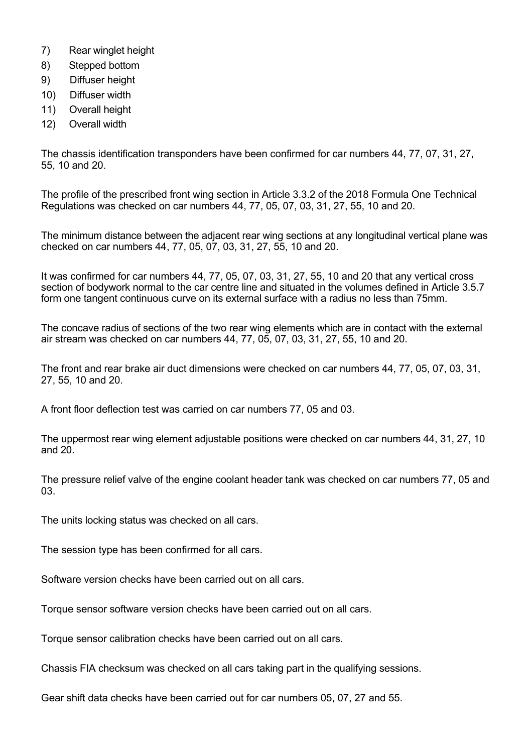- 7) Rear winglet height
- 8) Stepped bottom
- 9) Diffuser height
- 10) Diffuser width
- 11) Overall height
- 12) Overall width

The chassis identification transponders have been confirmed for car numbers 44, 77, 07, 31, 27, 55, 10 and 20.

The profile of the prescribed front wing section in Article 3.3.2 of the 2018 Formula One Technical Regulations was checked on car numbers 44, 77, 05, 07, 03, 31, 27, 55, 10 and 20.

The minimum distance between the adjacent rear wing sections at any longitudinal vertical plane was checked on car numbers 44, 77, 05, 07, 03, 31, 27, 55, 10 and 20.

It was confirmed for car numbers 44, 77, 05, 07, 03, 31, 27, 55, 10 and 20 that any vertical cross section of bodywork normal to the car centre line and situated in the volumes defined in Article 3.5.7 form one tangent continuous curve on its external surface with a radius no less than 75mm.

The concave radius of sections of the two rear wing elements which are in contact with the external air stream was checked on car numbers 44, 77, 05, 07, 03, 31, 27, 55, 10 and 20.

The front and rear brake air duct dimensions were checked on car numbers 44, 77, 05, 07, 03, 31, 27, 55, 10 and 20.

A front floor deflection test was carried on car numbers 77, 05 and 03.

The uppermost rear wing element adjustable positions were checked on car numbers 44, 31, 27, 10 and 20.

The pressure relief valve of the engine coolant header tank was checked on car numbers 77, 05 and 03.

The units locking status was checked on all cars.

The session type has been confirmed for all cars.

Software version checks have been carried out on all cars.

Torque sensor software version checks have been carried out on all cars.

Torque sensor calibration checks have been carried out on all cars.

Chassis FIA checksum was checked on all cars taking part in the qualifying sessions.

Gear shift data checks have been carried out for car numbers 05, 07, 27 and 55.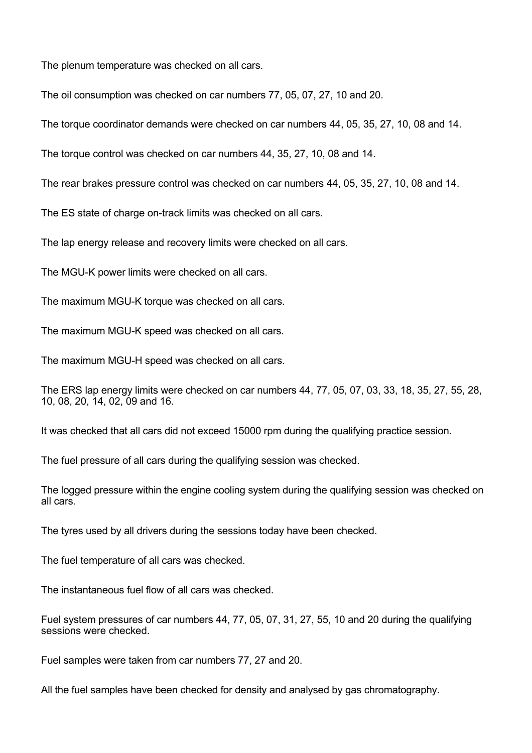The plenum temperature was checked on all cars.

The oil consumption was checked on car numbers 77, 05, 07, 27, 10 and 20.

The torque coordinator demands were checked on car numbers 44, 05, 35, 27, 10, 08 and 14.

The torque control was checked on car numbers 44, 35, 27, 10, 08 and 14.

The rear brakes pressure control was checked on car numbers 44, 05, 35, 27, 10, 08 and 14.

The ES state of charge on-track limits was checked on all cars.

The lap energy release and recovery limits were checked on all cars.

The MGU-K power limits were checked on all cars.

The maximum MGU-K torque was checked on all cars.

The maximum MGU-K speed was checked on all cars.

The maximum MGU-H speed was checked on all cars.

The ERS lap energy limits were checked on car numbers 44, 77, 05, 07, 03, 33, 18, 35, 27, 55, 28, 10, 08, 20, 14, 02, 09 and 16.

It was checked that all cars did not exceed 15000 rpm during the qualifying practice session.

The fuel pressure of all cars during the qualifying session was checked.

The logged pressure within the engine cooling system during the qualifying session was checked on all cars.

The tyres used by all drivers during the sessions today have been checked.

The fuel temperature of all cars was checked.

The instantaneous fuel flow of all cars was checked.

Fuel system pressures of car numbers 44, 77, 05, 07, 31, 27, 55, 10 and 20 during the qualifying sessions were checked.

Fuel samples were taken from car numbers 77, 27 and 20.

All the fuel samples have been checked for density and analysed by gas chromatography.